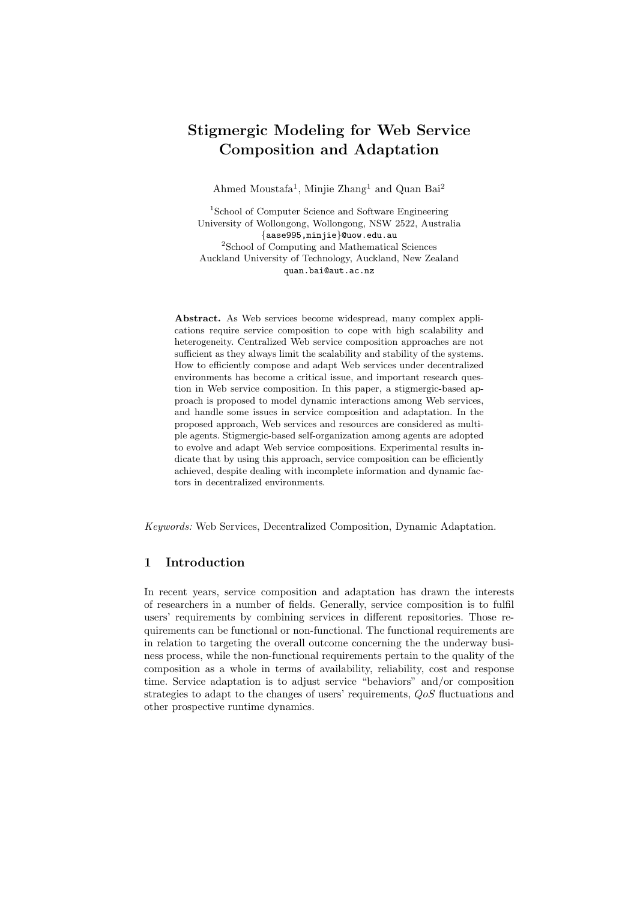# Stigmergic Modeling for Web Service Composition and Adaptation

Ahmed Moustafa<sup>1</sup>, Minjie Zhang<sup>1</sup> and Quan Bai<sup>2</sup>

<sup>1</sup>School of Computer Science and Software Engineering University of Wollongong, Wollongong, NSW 2522, Australia {aase995,minjie}@uow.edu.au <sup>2</sup>School of Computing and Mathematical Sciences Auckland University of Technology, Auckland, New Zealand quan.bai@aut.ac.nz

Abstract. As Web services become widespread, many complex applications require service composition to cope with high scalability and heterogeneity. Centralized Web service composition approaches are not sufficient as they always limit the scalability and stability of the systems. How to efficiently compose and adapt Web services under decentralized environments has become a critical issue, and important research question in Web service composition. In this paper, a stigmergic-based approach is proposed to model dynamic interactions among Web services, and handle some issues in service composition and adaptation. In the proposed approach, Web services and resources are considered as multiple agents. Stigmergic-based self-organization among agents are adopted to evolve and adapt Web service compositions. Experimental results indicate that by using this approach, service composition can be efficiently achieved, despite dealing with incomplete information and dynamic factors in decentralized environments.

Keywords: Web Services, Decentralized Composition, Dynamic Adaptation.

## 1 Introduction

In recent years, service composition and adaptation has drawn the interests of researchers in a number of fields. Generally, service composition is to fulfil users' requirements by combining services in different repositories. Those requirements can be functional or non-functional. The functional requirements are in relation to targeting the overall outcome concerning the the underway business process, while the non-functional requirements pertain to the quality of the composition as a whole in terms of availability, reliability, cost and response time. Service adaptation is to adjust service "behaviors" and/or composition strategies to adapt to the changes of users' requirements, QoS fluctuations and other prospective runtime dynamics.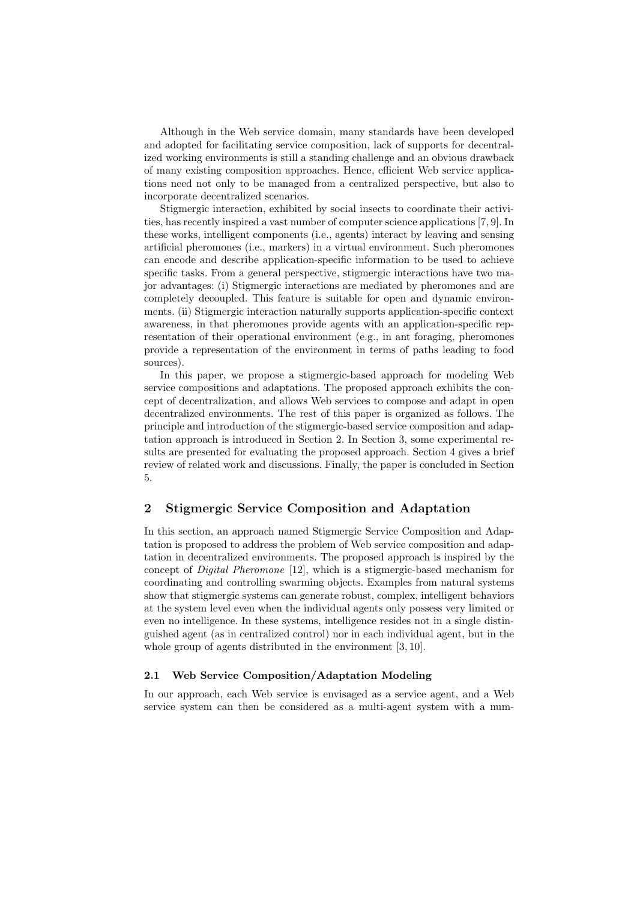Although in the Web service domain, many standards have been developed and adopted for facilitating service composition, lack of supports for decentralized working environments is still a standing challenge and an obvious drawback of many existing composition approaches. Hence, efficient Web service applications need not only to be managed from a centralized perspective, but also to incorporate decentralized scenarios.

Stigmergic interaction, exhibited by social insects to coordinate their activities, has recently inspired a vast number of computer science applications [7, 9]. In these works, intelligent components (i.e., agents) interact by leaving and sensing artificial pheromones (i.e., markers) in a virtual environment. Such pheromones can encode and describe application-specific information to be used to achieve specific tasks. From a general perspective, stigmergic interactions have two major advantages: (i) Stigmergic interactions are mediated by pheromones and are completely decoupled. This feature is suitable for open and dynamic environments. (ii) Stigmergic interaction naturally supports application-specific context awareness, in that pheromones provide agents with an application-specific representation of their operational environment (e.g., in ant foraging, pheromones provide a representation of the environment in terms of paths leading to food sources).

In this paper, we propose a stigmergic-based approach for modeling Web service compositions and adaptations. The proposed approach exhibits the concept of decentralization, and allows Web services to compose and adapt in open decentralized environments. The rest of this paper is organized as follows. The principle and introduction of the stigmergic-based service composition and adaptation approach is introduced in Section 2. In Section 3, some experimental results are presented for evaluating the proposed approach. Section 4 gives a brief review of related work and discussions. Finally, the paper is concluded in Section 5.

## 2 Stigmergic Service Composition and Adaptation

In this section, an approach named Stigmergic Service Composition and Adaptation is proposed to address the problem of Web service composition and adaptation in decentralized environments. The proposed approach is inspired by the concept of Digital Pheromone [12], which is a stigmergic-based mechanism for coordinating and controlling swarming objects. Examples from natural systems show that stigmergic systems can generate robust, complex, intelligent behaviors at the system level even when the individual agents only possess very limited or even no intelligence. In these systems, intelligence resides not in a single distinguished agent (as in centralized control) nor in each individual agent, but in the whole group of agents distributed in the environment [3, 10].

#### 2.1 Web Service Composition/Adaptation Modeling

In our approach, each Web service is envisaged as a service agent, and a Web service system can then be considered as a multi-agent system with a num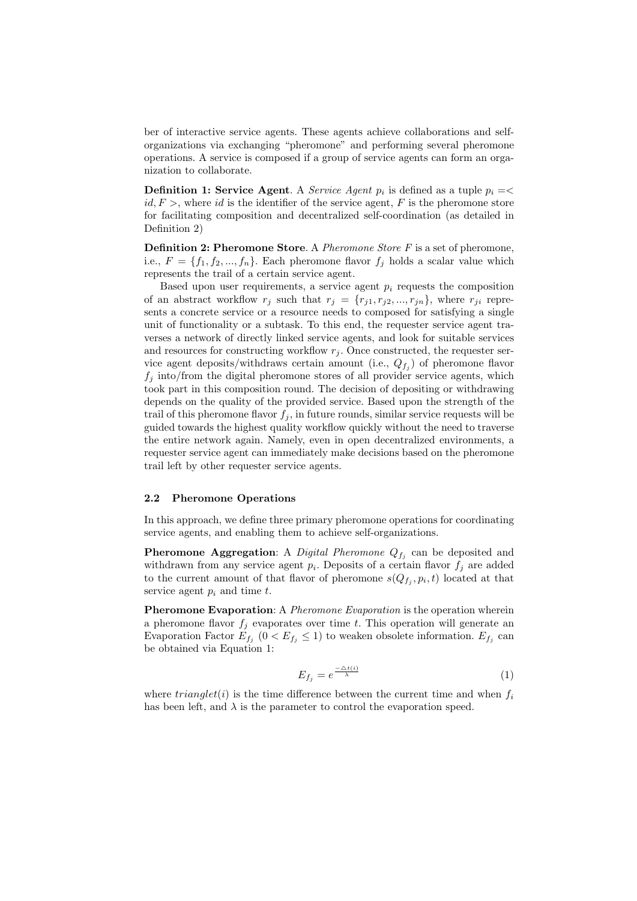ber of interactive service agents. These agents achieve collaborations and selforganizations via exchanging "pheromone" and performing several pheromone operations. A service is composed if a group of service agents can form an organization to collaborate.

**Definition 1: Service Agent**. A *Service Agent*  $p_i$  is defined as a tuple  $p_i = \langle$  $id, F >$ , where id is the identifier of the service agent, F is the pheromone store for facilitating composition and decentralized self-coordination (as detailed in Definition 2)

**Definition 2: Pheromone Store.** A *Pheromone Store* F is a set of pheromone, i.e.,  $F = \{f_1, f_2, ..., f_n\}$ . Each pheromone flavor  $f_j$  holds a scalar value which represents the trail of a certain service agent.

Based upon user requirements, a service agent  $p_i$  requests the composition of an abstract workflow  $r_i$  such that  $r_j = \{r_{j1}, r_{j2}, ..., r_{jn}\}$ , where  $r_{ji}$  represents a concrete service or a resource needs to composed for satisfying a single unit of functionality or a subtask. To this end, the requester service agent traverses a network of directly linked service agents, and look for suitable services and resources for constructing workflow  $r_i$ . Once constructed, the requester service agent deposits/withdraws certain amount (i.e.,  $Q_{f_j}$ ) of pheromone flavor  $f_i$  into/from the digital pheromone stores of all provider service agents, which took part in this composition round. The decision of depositing or withdrawing depends on the quality of the provided service. Based upon the strength of the trail of this pheromone flavor  $f_j$ , in future rounds, similar service requests will be guided towards the highest quality workflow quickly without the need to traverse the entire network again. Namely, even in open decentralized environments, a requester service agent can immediately make decisions based on the pheromone trail left by other requester service agents.

#### 2.2 Pheromone Operations

In this approach, we define three primary pheromone operations for coordinating service agents, and enabling them to achieve self-organizations.

**Pheromone Aggregation**: A *Digital Pheromone*  $Q_{f_j}$  can be deposited and withdrawn from any service agent  $p_i$ . Deposits of a certain flavor  $f_j$  are added to the current amount of that flavor of pheromone  $s(Q_{f_j}, p_i, t)$  located at that service agent  $p_i$  and time t.

Pheromone Evaporation: A Pheromone Evaporation is the operation wherein a pheromone flavor  $f_j$  evaporates over time t. This operation will generate an Evaporation Factor  $E_{f_j}$   $(0 < E_{f_j} \leq 1)$  to weaken obsolete information.  $E_{f_j}$  can be obtained via Equation 1:

$$
E_{f_j} = e^{\frac{-\Delta t(i)}{\lambda}} \tag{1}
$$

where  $triangle(i)$  is the time difference between the current time and when  $f_i$ has been left, and  $\lambda$  is the parameter to control the evaporation speed.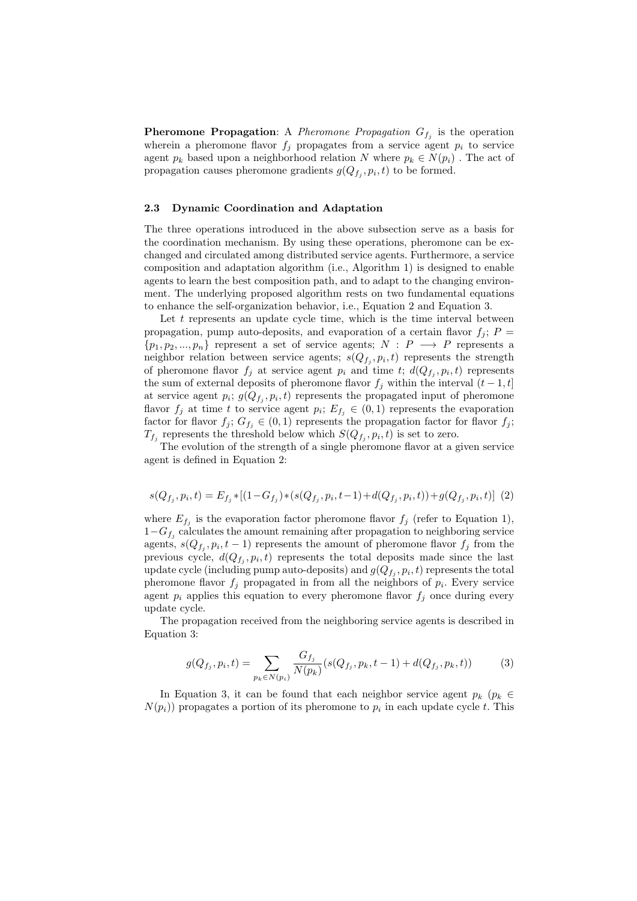**Pheromone Propagation**: A *Pheromone Propagation*  $G_{f_j}$  is the operation wherein a pheromone flavor  $f_j$  propagates from a service agent  $p_i$  to service agent  $p_k$  based upon a neighborhood relation N where  $p_k \in N(p_i)$ . The act of propagation causes pheromone gradients  $g(Q_{f_j}, p_i, t)$  to be formed.

### 2.3 Dynamic Coordination and Adaptation

The three operations introduced in the above subsection serve as a basis for the coordination mechanism. By using these operations, pheromone can be exchanged and circulated among distributed service agents. Furthermore, a service composition and adaptation algorithm (i.e., Algorithm 1) is designed to enable agents to learn the best composition path, and to adapt to the changing environment. The underlying proposed algorithm rests on two fundamental equations to enhance the self-organization behavior, i.e., Equation 2 and Equation 3.

Let  $t$  represents an update cycle time, which is the time interval between propagation, pump auto-deposits, and evaporation of a certain flavor  $f_i$ ;  $P =$  $\{p_1, p_2, ..., p_n\}$  represent a set of service agents;  $N : P \longrightarrow P$  represents a neighbor relation between service agents;  $s(Q_{f_j}, p_i, t)$  represents the strength of pheromone flavor  $f_j$  at service agent  $p_i$  and time t;  $d(Q_{f_j}, p_i, t)$  represents the sum of external deposits of pheromone flavor  $f_j$  within the interval  $(t-1, t]$ at service agent  $p_i$ ;  $g(Q_{f_j}, p_i, t)$  represents the propagated input of pheromone flavor  $f_j$  at time t to service agent  $p_i$ ;  $E_{f_j} \in (0,1)$  represents the evaporation factor for flavor  $f_j$ ;  $G_{f_j} \in (0,1)$  represents the propagation factor for flavor  $f_j$ ;  $T_{f_j}$  represents the threshold below which  $S(Q_{f_j}, p_i, t)$  is set to zero.

The evolution of the strength of a single pheromone flavor at a given service agent is defined in Equation 2:

$$
s(Q_{f_j}, p_i, t) = E_{f_j} * [(1 - G_{f_j}) * (s(Q_{f_j}, p_i, t-1) + d(Q_{f_j}, p_i, t)) + g(Q_{f_j}, p_i, t)]
$$
 (2)

where  $E_{f_j}$  is the evaporation factor pheromone flavor  $f_j$  (refer to Equation 1),  $1-G_{f_j}$  calculates the amount remaining after propagation to neighboring service agents,  $s(Q_{f_j}, p_i, t-1)$  represents the amount of pheromone flavor  $f_j$  from the previous cycle,  $d(Q_{f_j}, p_i, t)$  represents the total deposits made since the last update cycle (including pump auto-deposits) and  $g(Q_{f_j}, p_i, t)$  represents the total pheromone flavor  $f_j$  propagated in from all the neighbors of  $p_i$ . Every service agent  $p_i$  applies this equation to every pheromone flavor  $f_j$  once during every update cycle.

The propagation received from the neighboring service agents is described in Equation 3:

$$
g(Q_{f_j}, p_i, t) = \sum_{p_k \in N(p_i)} \frac{G_{f_j}}{N(p_k)} (s(Q_{f_j}, p_k, t-1) + d(Q_{f_j}, p_k, t))
$$
(3)

In Equation 3, it can be found that each neighbor service agent  $p_k$  ( $p_k \in$  $N(p_i)$  propagates a portion of its pheromone to  $p_i$  in each update cycle t. This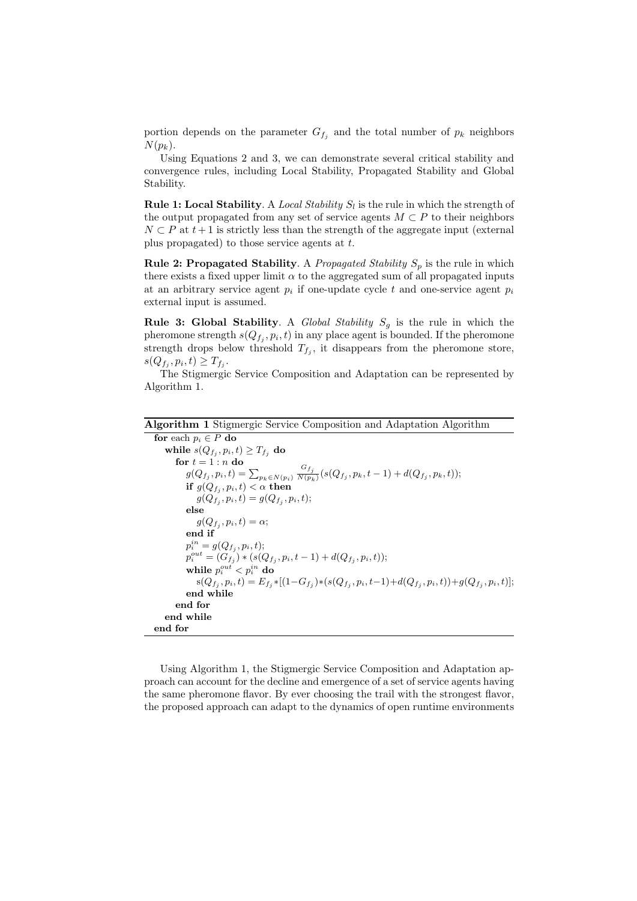portion depends on the parameter  $G_{f_i}$  and the total number of  $p_k$  neighbors  $N(p_k)$ .

Using Equations 2 and 3, we can demonstrate several critical stability and convergence rules, including Local Stability, Propagated Stability and Global Stability.

**Rule 1: Local Stability**. A *Local Stability*  $S_l$  is the rule in which the strength of the output propagated from any set of service agents  $M \subset P$  to their neighbors  $N \subset P$  at  $t+1$  is strictly less than the strength of the aggregate input (external plus propagated) to those service agents at  $t$ .

**Rule 2: Propagated Stability.** A *Propagated Stability*  $S_p$  is the rule in which there exists a fixed upper limit  $\alpha$  to the aggregated sum of all propagated inputs at an arbitrary service agent  $p_i$  if one-update cycle t and one-service agent  $p_i$ external input is assumed.

**Rule 3: Global Stability.** A Global Stability  $S_q$  is the rule in which the pheromone strength  $s(Q_{f_j}, p_i, t)$  in any place agent is bounded. If the pheromone strength drops below threshold  $T_{f_j}$ , it disappears from the pheromone store,  $s(Q_{f_j}, p_i, t) \geq T_{f_j}.$ 

The Stigmergic Service Composition and Adaptation can be represented by Algorithm 1.

#### Algorithm 1 Stigmergic Service Composition and Adaptation Algorithm

for each  $p_i \in P$  do while  $s(Q_{f_j}, p_i, t) \geq T_{f_j}$  do for  $t = 1$  : *n* do  $g(Q_{f_j}, p_i, t) = \sum_{p_k \in N(p_i)} \frac{G_{f_j}}{N(p_k)}$  $\frac{y_j}{N(p_k)}(s(Q_{f_j}, p_k, t-1)+d(Q_{f_j}, p_k, t));$ if  $g(Q_{f_j},p_i,t)<\alpha$  then  $g(Q_{f_j}, p_i, t) = g(Q_{f_j}, p_i, t);$ else  $g(Q_{f_j}, p_i, t) = \alpha;$ end if  $p_i^{in} = g(Q_{f_j}, p_i, t);$  $p_i^{out} = (G_{f_j}) * (s(Q_{f_j}, p_i, t-1) + d(Q_{f_j}, p_i, t));$ while  $p_i^{out} < p_i^{in}$  do  $s(Q_{f_j}, p_i, t) = E_{f_j} * [(1 - G_{f_j}) * (s(Q_{f_j}, p_i, t-1) + d(Q_{f_j}, p_i, t)) + g(Q_{f_j}, p_i, t)];$ end while end for end while end for

Using Algorithm 1, the Stigmergic Service Composition and Adaptation approach can account for the decline and emergence of a set of service agents having the same pheromone flavor. By ever choosing the trail with the strongest flavor, the proposed approach can adapt to the dynamics of open runtime environments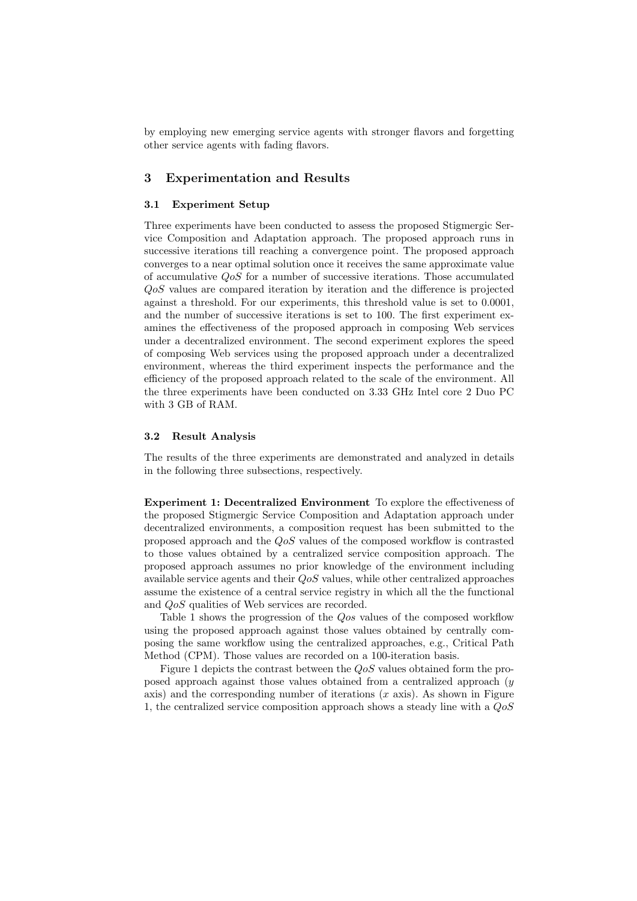by employing new emerging service agents with stronger flavors and forgetting other service agents with fading flavors.

## 3 Experimentation and Results

### 3.1 Experiment Setup

Three experiments have been conducted to assess the proposed Stigmergic Service Composition and Adaptation approach. The proposed approach runs in successive iterations till reaching a convergence point. The proposed approach converges to a near optimal solution once it receives the same approximate value of accumulative  $\mathcal{O}oS$  for a number of successive iterations. Those accumulated QoS values are compared iteration by iteration and the difference is projected against a threshold. For our experiments, this threshold value is set to 0.0001, and the number of successive iterations is set to 100. The first experiment examines the effectiveness of the proposed approach in composing Web services under a decentralized environment. The second experiment explores the speed of composing Web services using the proposed approach under a decentralized environment, whereas the third experiment inspects the performance and the efficiency of the proposed approach related to the scale of the environment. All the three experiments have been conducted on 3.33 GHz Intel core 2 Duo PC with 3 GB of RAM.

### 3.2 Result Analysis

The results of the three experiments are demonstrated and analyzed in details in the following three subsections, respectively.

Experiment 1: Decentralized Environment To explore the effectiveness of the proposed Stigmergic Service Composition and Adaptation approach under decentralized environments, a composition request has been submitted to the proposed approach and the QoS values of the composed workflow is contrasted to those values obtained by a centralized service composition approach. The proposed approach assumes no prior knowledge of the environment including available service agents and their QoS values, while other centralized approaches assume the existence of a central service registry in which all the the functional and QoS qualities of Web services are recorded.

Table 1 shows the progression of the Qos values of the composed workflow using the proposed approach against those values obtained by centrally composing the same workflow using the centralized approaches, e.g., Critical Path Method (CPM). Those values are recorded on a 100-iteration basis.

Figure 1 depicts the contrast between the QoS values obtained form the proposed approach against those values obtained from a centralized approach (y axis) and the corresponding number of iterations  $(x \text{ axis})$ . As shown in Figure 1, the centralized service composition approach shows a steady line with a QoS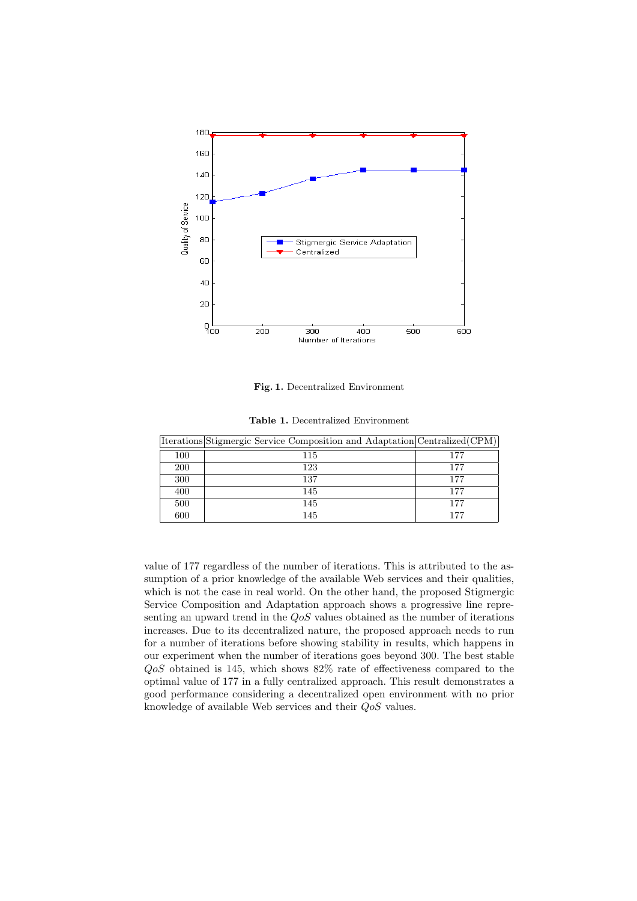

Fig. 1. Decentralized Environment

Table 1. Decentralized Environment

|            | [Iterations]Stigmergic Service Composition and Adaptation Centralized (CPM)] |     |
|------------|------------------------------------------------------------------------------|-----|
| 100        | 115                                                                          | 177 |
| <b>200</b> | 123                                                                          | 177 |
| 300        | 137                                                                          | 177 |
| 400        | 145                                                                          | 177 |
| 500        | 145                                                                          | 177 |
| 600        | 145                                                                          | 177 |

value of 177 regardless of the number of iterations. This is attributed to the assumption of a prior knowledge of the available Web services and their qualities, which is not the case in real world. On the other hand, the proposed Stigmergic Service Composition and Adaptation approach shows a progressive line representing an upward trend in the  $QoS$  values obtained as the number of iterations increases. Due to its decentralized nature, the proposed approach needs to run for a number of iterations before showing stability in results, which happens in our experiment when the number of iterations goes beyond 300. The best stable  $QoS$  obtained is 145, which shows 82% rate of effectiveness compared to the optimal value of 177 in a fully centralized approach. This result demonstrates a good performance considering a decentralized open environment with no prior knowledge of available Web services and their  $QoS$  values.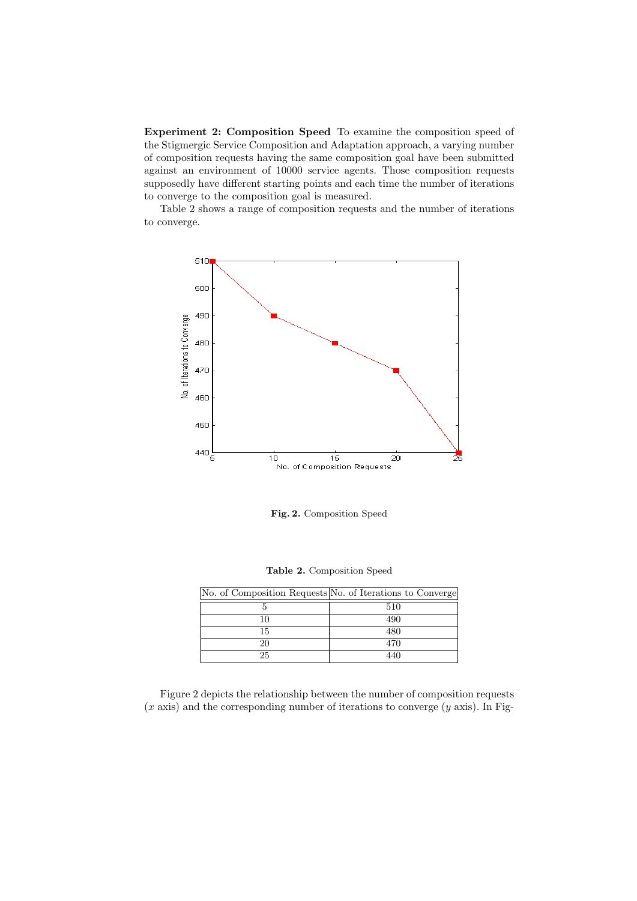Experiment 2: Composition Speed To examine the composition speed of the Stigmergic Service Composition and Adaptation approach, a varying number of composition requests having the same composition goal have been submitted against an environment of 10000 service agents. Those composition requests supposedly have different starting points and each time the number of iterations to converge to the composition goal is measured.

Table 2 shows a range of composition requests and the number of iterations to converge.



Fig. 2. Composition Speed

Table 2. Composition Speed

|    | No. of Composition Requests No. of Iterations to Converge |
|----|-----------------------------------------------------------|
|    | 510                                                       |
|    | 490                                                       |
| 15 | 480                                                       |
| 20 | 470                                                       |
| 25 | 140                                                       |

Figure 2 depicts the relationship between the number of composition requests  $(x \text{ axis})$  and the corresponding number of iterations to converge  $(y \text{ axis})$ . In Fig-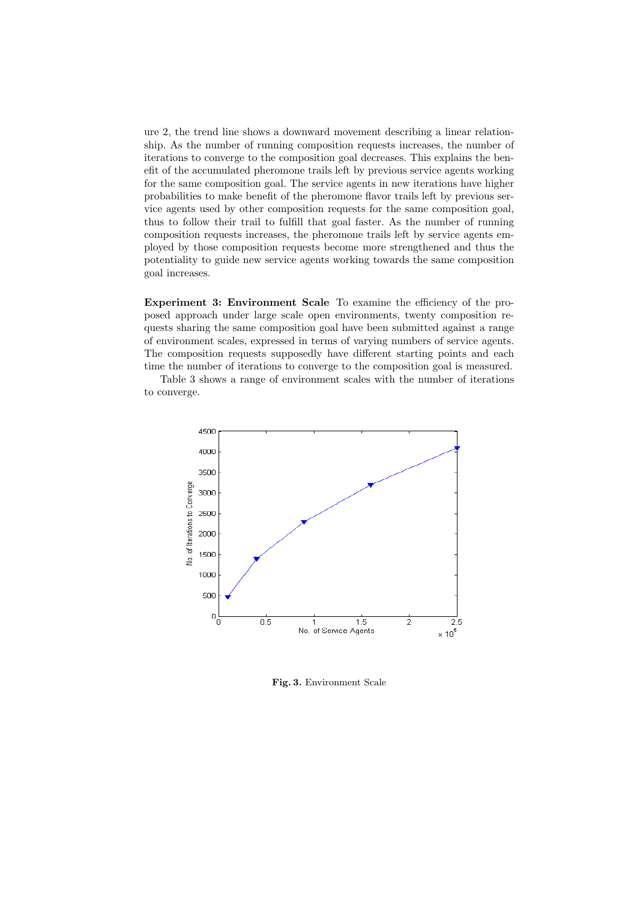ure 2, the trend line shows a downward movement describing a linear relationship. As the number of running composition requests increases, the number of iterations to converge to the composition goal decreases. This explains the benefit of the accumulated pheromone trails left by previous service agents working for the same composition goal. The service agents in new iterations have higher probabilities to make benefit of the pheromone flavor trails left by previous service agents used by other composition requests for the same composition goal, thus to follow their trail to fulfill that goal faster. As the number of running composition requests increases, the pheromone trails left by service agents employed by those composition requests become more strengthened and thus the potentiality to guide new service agents working towards the same composition goal increases.

Experiment 3: Environment Scale To examine the efficiency of the proposed approach under large scale open environments, twenty composition requests sharing the same composition goal have been submitted against a range of environment scales, expressed in terms of varying numbers of service agents. The composition requests supposedly have different starting points and each time the number of iterations to converge to the composition goal is measured.

Table 3 shows a range of environment scales with the number of iterations to converge.



Fig. 3. Environment Scale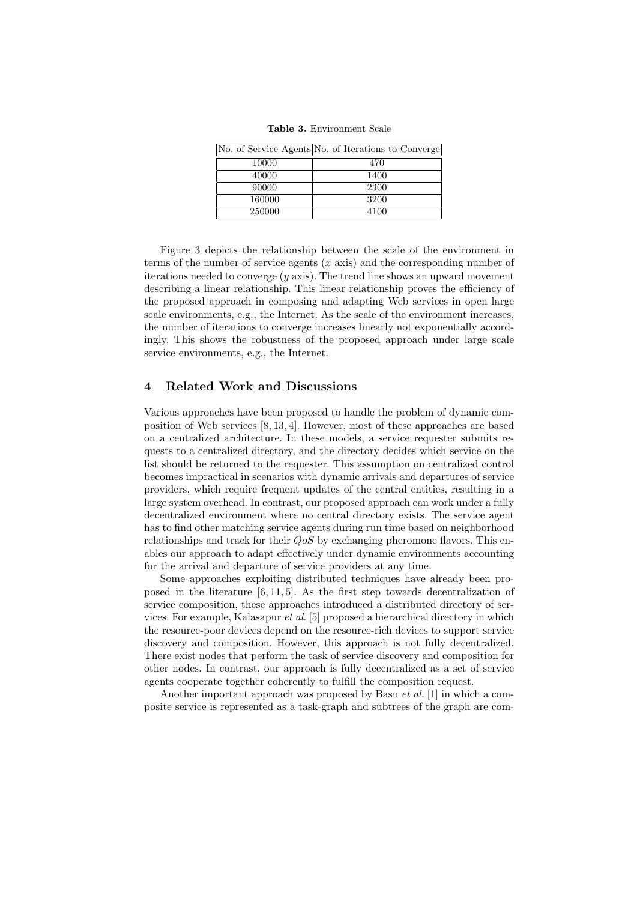|        | No. of Service Agents No. of Iterations to Converge |
|--------|-----------------------------------------------------|
| 10000  | 470                                                 |
| 40000  | 1400                                                |
| 90000  | 2300                                                |
| 160000 | 3200                                                |
| 250000 | 4100                                                |

Figure 3 depicts the relationship between the scale of the environment in terms of the number of service agents  $(x \text{ axis})$  and the corresponding number of iterations needed to converge  $(y \text{ axis})$ . The trend line shows an upward movement describing a linear relationship. This linear relationship proves the efficiency of the proposed approach in composing and adapting Web services in open large scale environments, e.g., the Internet. As the scale of the environment increases, the number of iterations to converge increases linearly not exponentially accordingly. This shows the robustness of the proposed approach under large scale service environments, e.g., the Internet.

## 4 Related Work and Discussions

Various approaches have been proposed to handle the problem of dynamic composition of Web services [8, 13, 4]. However, most of these approaches are based on a centralized architecture. In these models, a service requester submits requests to a centralized directory, and the directory decides which service on the list should be returned to the requester. This assumption on centralized control becomes impractical in scenarios with dynamic arrivals and departures of service providers, which require frequent updates of the central entities, resulting in a large system overhead. In contrast, our proposed approach can work under a fully decentralized environment where no central directory exists. The service agent has to find other matching service agents during run time based on neighborhood relationships and track for their  $QoS$  by exchanging pheromone flavors. This enables our approach to adapt effectively under dynamic environments accounting for the arrival and departure of service providers at any time.

Some approaches exploiting distributed techniques have already been proposed in the literature [6, 11, 5]. As the first step towards decentralization of service composition, these approaches introduced a distributed directory of services. For example, Kalasapur et al. [5] proposed a hierarchical directory in which the resource-poor devices depend on the resource-rich devices to support service discovery and composition. However, this approach is not fully decentralized. There exist nodes that perform the task of service discovery and composition for other nodes. In contrast, our approach is fully decentralized as a set of service agents cooperate together coherently to fulfill the composition request.

Another important approach was proposed by Basu et al. [1] in which a composite service is represented as a task-graph and subtrees of the graph are com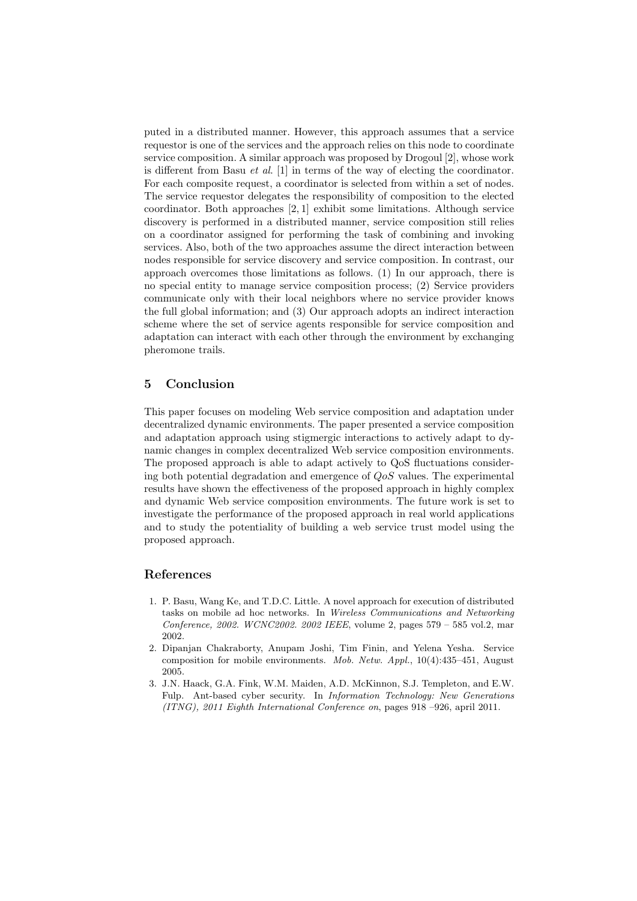puted in a distributed manner. However, this approach assumes that a service requestor is one of the services and the approach relies on this node to coordinate service composition. A similar approach was proposed by Drogoul [2], whose work is different from Basu *et al.* [1] in terms of the way of electing the coordinator. For each composite request, a coordinator is selected from within a set of nodes. The service requestor delegates the responsibility of composition to the elected coordinator. Both approaches [2, 1] exhibit some limitations. Although service discovery is performed in a distributed manner, service composition still relies on a coordinator assigned for performing the task of combining and invoking services. Also, both of the two approaches assume the direct interaction between nodes responsible for service discovery and service composition. In contrast, our approach overcomes those limitations as follows. (1) In our approach, there is no special entity to manage service composition process; (2) Service providers communicate only with their local neighbors where no service provider knows the full global information; and (3) Our approach adopts an indirect interaction scheme where the set of service agents responsible for service composition and adaptation can interact with each other through the environment by exchanging pheromone trails.

## 5 Conclusion

This paper focuses on modeling Web service composition and adaptation under decentralized dynamic environments. The paper presented a service composition and adaptation approach using stigmergic interactions to actively adapt to dynamic changes in complex decentralized Web service composition environments. The proposed approach is able to adapt actively to QoS fluctuations considering both potential degradation and emergence of QoS values. The experimental results have shown the effectiveness of the proposed approach in highly complex and dynamic Web service composition environments. The future work is set to investigate the performance of the proposed approach in real world applications and to study the potentiality of building a web service trust model using the proposed approach.

## References

- 1. P. Basu, Wang Ke, and T.D.C. Little. A novel approach for execution of distributed tasks on mobile ad hoc networks. In Wireless Communications and Networking Conference, 2002. WCNC2002. 2002 IEEE, volume 2, pages 579 – 585 vol.2, mar 2002.
- 2. Dipanjan Chakraborty, Anupam Joshi, Tim Finin, and Yelena Yesha. Service composition for mobile environments. Mob. Netw. Appl., 10(4):435–451, August 2005.
- 3. J.N. Haack, G.A. Fink, W.M. Maiden, A.D. McKinnon, S.J. Templeton, and E.W. Fulp. Ant-based cyber security. In Information Technology: New Generations (ITNG), 2011 Eighth International Conference on, pages 918 –926, april 2011.